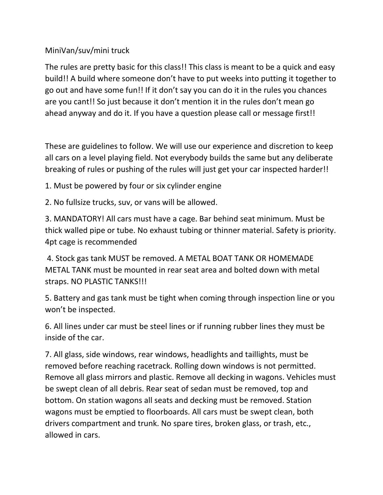## MiniVan/suv/mini truck

The rules are pretty basic for this class!! This class is meant to be a quick and easy build!! A build where someone don't have to put weeks into putting it together to go out and have some fun!! If it don't say you can do it in the rules you chances are you cant!! So just because it don't mention it in the rules don't mean go ahead anyway and do it. If you have a question please call or message first!!

These are guidelines to follow. We will use our experience and discretion to keep all cars on a level playing field. Not everybody builds the same but any deliberate breaking of rules or pushing of the rules will just get your car inspected harder!!

1. Must be powered by four or six cylinder engine

2. No fullsize trucks, suv, or vans will be allowed.

3. MANDATORY! All cars must have a cage. Bar behind seat minimum. Must be thick walled pipe or tube. No exhaust tubing or thinner material. Safety is priority. 4pt cage is recommended

4. Stock gas tank MUST be removed. A METAL BOAT TANK OR HOMEMADE METAL TANK must be mounted in rear seat area and bolted down with metal straps. NO PLASTIC TANKS!!!

5. Battery and gas tank must be tight when coming through inspection line or you won't be inspected.

6. All lines under car must be steel lines or if running rubber lines they must be inside of the car.

7. All glass, side windows, rear windows, headlights and taillights, must be removed before reaching racetrack. Rolling down windows is not permitted. Remove all glass mirrors and plastic. Remove all decking in wagons. Vehicles must be swept clean of all debris. Rear seat of sedan must be removed, top and bottom. On station wagons all seats and decking must be removed. Station wagons must be emptied to floorboards. All cars must be swept clean, both drivers compartment and trunk. No spare tires, broken glass, or trash, etc., allowed in cars.